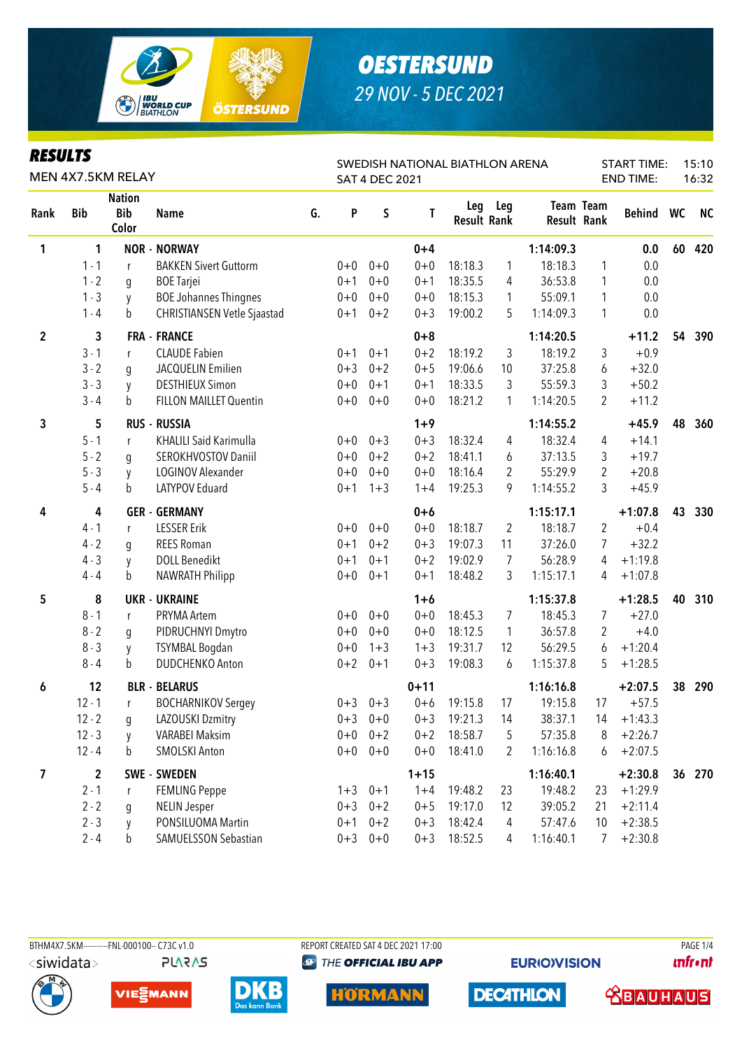

### **RESULTS**

| SWEDISH NATIONAL BIATHLON ARENA<br>MEN 4X7.5KM RELAY<br><b>SAT 4 DEC 2021</b> |             |                                      |                                    |    |         |             |          |                    |         | <b>START TIME:</b><br><b>END TIME:</b> |                                 | 15:10<br>16:32 |    |           |
|-------------------------------------------------------------------------------|-------------|--------------------------------------|------------------------------------|----|---------|-------------|----------|--------------------|---------|----------------------------------------|---------------------------------|----------------|----|-----------|
| Rank                                                                          | <b>Bib</b>  | <b>Nation</b><br><b>Bib</b><br>Color | <b>Name</b>                        | G. | P       | S           | T        | <b>Result Rank</b> | Leg Leg |                                        | <b>Team Team</b><br>Result Rank | Behind WC      |    | <b>NC</b> |
| 1                                                                             | 1           |                                      | <b>NOR - NORWAY</b>                |    |         |             | $0 + 4$  |                    |         | 1:14:09.3                              |                                 | 0.0            | 60 | 420       |
|                                                                               | $1 - 1$     | r                                    | <b>BAKKEN Sivert Guttorm</b>       |    | $0+0$   | $0 + 0$     | $0 + 0$  | 18:18.3            | 1       | 18:18.3                                | 1                               | 0.0            |    |           |
|                                                                               | $1 - 2$     | g                                    | <b>BOE Tarjei</b>                  |    | $0 + 1$ | $0 + 0$     | $0 + 1$  | 18:35.5            | 4       | 36:53.8                                | $\mathbf{1}$                    | 0.0            |    |           |
|                                                                               | $1 - 3$     | y                                    | <b>BOE Johannes Thingnes</b>       |    | $0 + 0$ | $0 + 0$     | $0 + 0$  | 18:15.3            | 1       | 55:09.1                                | 1                               | 0.0            |    |           |
|                                                                               | $1 - 4$     | b                                    | <b>CHRISTIANSEN Vetle Sjaastad</b> |    | $0 + 1$ | $0 + 2$     | $0 + 3$  | 19:00.2            | 5       | 1:14:09.3                              | $\mathbf{1}$                    | 0.0            |    |           |
| $\overline{2}$                                                                | 3           |                                      | <b>FRA - FRANCE</b>                |    |         |             | $0 + 8$  |                    |         | 1:14:20.5                              |                                 | $+11.2$        | 54 | 390       |
|                                                                               | $3 - 1$     | r                                    | <b>CLAUDE Fabien</b>               |    | $0 + 1$ | $0 + 1$     | $0 + 2$  | 18:19.2            | 3       | 18:19.2                                | 3                               | $+0.9$         |    |           |
|                                                                               | $3 - 2$     | g                                    | JACQUELIN Emilien                  |    | $0 + 3$ | $0 + 2$     | $0 + 5$  | 19:06.6            | 10      | 37:25.8                                | 6                               | $+32.0$        |    |           |
|                                                                               | $3 - 3$     | y                                    | <b>DESTHIEUX Simon</b>             |    | $0 + 0$ | $0 + 1$     | $0 + 1$  | 18:33.5            | 3       | 55:59.3                                | 3                               | $+50.2$        |    |           |
|                                                                               | $3 - 4$     | b                                    | FILLON MAILLET Quentin             |    | $0+0$   | $0 + 0$     | $0 + 0$  | 18:21.2            | 1       | 1:14:20.5                              | 2                               | $+11.2$        |    |           |
| 3                                                                             | 5           |                                      | <b>RUS - RUSSIA</b>                |    |         |             | $1 + 9$  |                    |         | 1:14:55.2                              |                                 | $+45.9$        | 48 | 360       |
|                                                                               | $5 - 1$     | r                                    | <b>KHALILI Said Karimulla</b>      |    | $0 + 0$ | $0 + 3$     | $0 + 3$  | 18:32.4            | 4       | 18:32.4                                | 4                               | $+14.1$        |    |           |
|                                                                               | $5 - 2$     | q                                    | SEROKHVOSTOV Daniil                |    | $0 + 0$ | $0 + 2$     | $0 + 2$  | 18:41.1            | 6       | 37:13.5                                | 3                               | $+19.7$        |    |           |
|                                                                               | $5 - 3$     | y                                    | LOGINOV Alexander                  |    | $0 + 0$ | $0 + 0$     | $0 + 0$  | 18:16.4            | 2       | 55:29.9                                | $\overline{2}$                  | $+20.8$        |    |           |
|                                                                               | $5 - 4$     | b                                    | LATYPOV Eduard                     |    | $0 + 1$ | $1 + 3$     | $1 + 4$  | 19:25.3            | 9       | 1:14:55.2                              | 3                               | $+45.9$        |    |           |
| 4                                                                             | 4           |                                      | <b>GER - GERMANY</b>               |    |         |             | $0+6$    |                    |         | 1:15:17.1                              |                                 | $+1:07.8$      | 43 | 330       |
|                                                                               | $4 - 1$     | r                                    | <b>LESSER Erik</b>                 |    | $0+0$   | $0 + 0$     | $0 + 0$  | 18:18.7            | 2       | 18:18.7                                | 2                               | $+0.4$         |    |           |
|                                                                               | $4 - 2$     | g                                    | <b>REES Roman</b>                  |    | $0 + 1$ | $0 + 2$     | $0 + 3$  | 19:07.3            | 11      | 37:26.0                                | 7                               | $+32.2$        |    |           |
|                                                                               | $4 - 3$     | y                                    | <b>DOLL Benedikt</b>               |    | $0 + 1$ | $0 + 1$     | $0 + 2$  | 19:02.9            | 7       | 56:28.9                                | 4                               | $+1:19.8$      |    |           |
|                                                                               | $4 - 4$     | b                                    | NAWRATH Philipp                    |    | $0 + 0$ | $0 + 1$     | $0 + 1$  | 18:48.2            | 3       | 1:15:17.1                              | 4                               | $+1:07.8$      |    |           |
| 5                                                                             | 8           |                                      | <b>UKR - UKRAINE</b>               |    |         |             | $1 + 6$  |                    |         | 1:15:37.8                              |                                 | $+1:28.5$      | 40 | 310       |
|                                                                               | $8 - 1$     | r                                    | PRYMA Artem                        |    | $0+0$   | $0 + 0$     | $0 + 0$  | 18:45.3            | 7       | 18:45.3                                | $\overline{7}$                  | $+27.0$        |    |           |
|                                                                               | $8 - 2$     | g                                    | PIDRUCHNYI Dmytro                  |    | $0+0$   | $0 + 0$     | $0 + 0$  | 18:12.5            | 1       | 36:57.8                                | 2                               | $+4.0$         |    |           |
|                                                                               | $8 - 3$     | y                                    | <b>TSYMBAL Bogdan</b>              |    | $0 + 0$ | $1 + 3$     | $1 + 3$  | 19:31.7            | 12      | 56:29.5                                | 6                               | $+1:20.4$      |    |           |
|                                                                               | $8 - 4$     | b                                    | DUDCHENKO Anton                    |    | $0 + 2$ | $0 + 1$     | $0 + 3$  | 19:08.3            | 6       | 1:15:37.8                              | 5                               | $+1:28.5$      |    |           |
| 6                                                                             | 12          |                                      | <b>BLR - BELARUS</b>               |    |         |             | $0 + 11$ |                    |         | 1:16:16.8                              |                                 | $+2:07.5$      | 38 | 290       |
|                                                                               | $12 - 1$    | $\mathsf{r}$                         | <b>BOCHARNIKOV Sergey</b>          |    |         | $0+3$ 0+3   | $0 + 6$  | 19:15.8            | 17      | 19:15.8                                | 17                              | $+57.5$        |    |           |
|                                                                               | $12 - 2$    | g                                    | LAZOUSKI Dzmitry                   |    |         | $0+3$ 0+0   | $0 + 3$  | 19:21.3            | 14      | 38:37.1                                | 14                              | $+1:43.3$      |    |           |
|                                                                               | $12 - 3$    | V                                    | <b>VARABEI Maksim</b>              |    |         | $0+0$ $0+2$ | $0 + 2$  | 18:58.7            | 5       | 57:35.8                                | 8                               | $+2:26.7$      |    |           |
|                                                                               | $12 - 4$    | b                                    | <b>SMOLSKI Anton</b>               |    |         | $0+0$ $0+0$ | $0+0$    | 18:41.0            | 2       | 1:16:16.8                              | 6                               | $+2:07.5$      |    |           |
| 7                                                                             | $\mathbf 2$ |                                      | <b>SWE - SWEDEN</b>                |    |         |             | $1 + 15$ |                    |         | 1:16:40.1                              |                                 | $+2:30.8$      |    | 36 270    |
|                                                                               | $2 - 1$     | r                                    | <b>FEMLING Peppe</b>               |    |         | $1+3$ 0+1   | $1 + 4$  | 19:48.2            | 23      | 19:48.2                                | 23                              | $+1:29.9$      |    |           |
|                                                                               | $2 - 2$     | g                                    | <b>NELIN Jesper</b>                |    |         | $0+3$ $0+2$ | $0 + 5$  | 19:17.0            | 12      | 39:05.2                                | 21                              | $+2:11.4$      |    |           |
|                                                                               | $2 - 3$     | y                                    | PONSILUOMA Martin                  |    | $0 + 1$ | $0 + 2$     | $0 + 3$  | 18:42.4            | 4       | 57:47.6                                | 10                              | $+2:38.5$      |    |           |
|                                                                               | $2 - 4$     | b                                    | SAMUELSSON Sebastian               |    |         | $0+3$ 0+0   | $0 + 3$  | 18:52.5            | 4       | 1:16:40.1                              | $\overline{7}$                  | $+2:30.8$      |    |           |

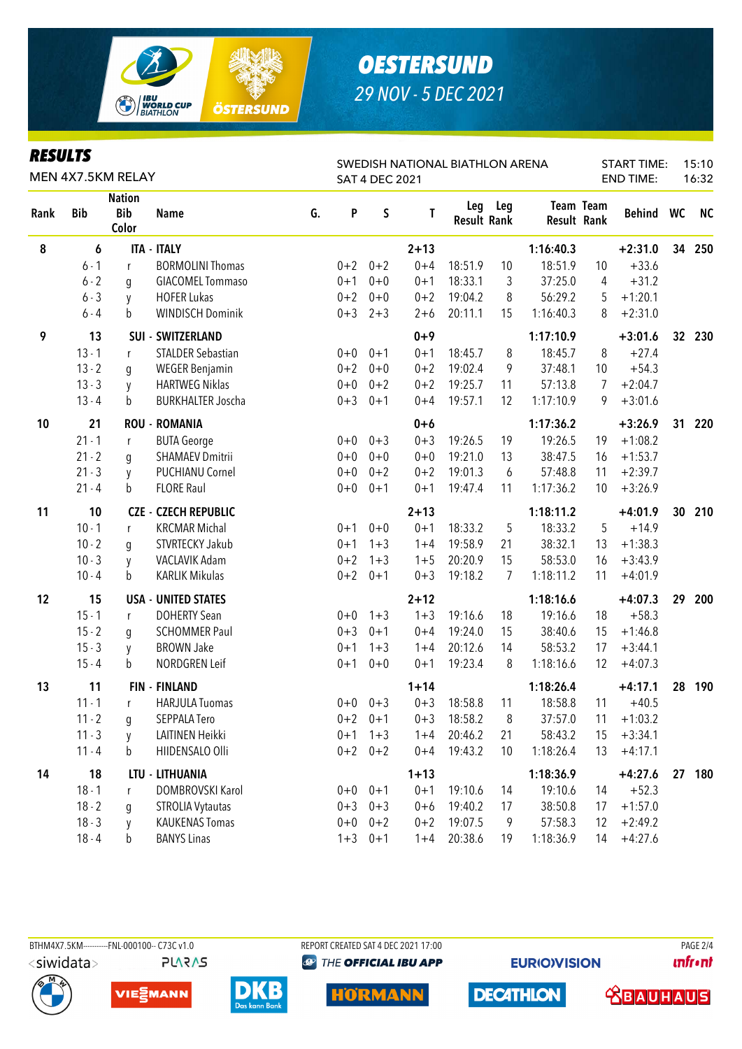

#### *RESULTS*

| reðulið<br>MEN 4X7.5KM RELAY |                                                    |   |                             |    | SWEDISH NATIONAL BIATHLON ARENA<br><b>SAT 4 DEC 2021</b> |             |          |                           |     |                    |                  | <b>START TIME:</b><br>15:10<br><b>END TIME:</b><br>16:32 |                 |           |  |
|------------------------------|----------------------------------------------------|---|-----------------------------|----|----------------------------------------------------------|-------------|----------|---------------------------|-----|--------------------|------------------|----------------------------------------------------------|-----------------|-----------|--|
| Rank                         | <b>Nation</b><br><b>Bib</b><br><b>Bib</b><br>Color |   | <b>Name</b>                 | G. | P                                                        | S           | Τ        | Leg<br><b>Result Rank</b> | Leg | <b>Result Rank</b> | <b>Team Team</b> | Behind WC                                                |                 | <b>NC</b> |  |
| 8                            | 6                                                  |   | <b>ITA - ITALY</b>          |    |                                                          |             | $2 + 13$ |                           |     | 1:16:40.3          |                  | $+2:31.0$                                                | 34              | 250       |  |
|                              | $6 - 1$                                            | r | <b>BORMOLINI Thomas</b>     |    | $0 + 2$                                                  | $0 + 2$     | $0 + 4$  | 18:51.9                   | 10  | 18:51.9            | 10               | $+33.6$                                                  |                 |           |  |
|                              | $6 - 2$                                            | g | <b>GIACOMEL Tommaso</b>     |    | $0 + 1$                                                  | $0 + 0$     | $0 + 1$  | 18:33.1                   | 3   | 37:25.0            | 4                | $+31.2$                                                  |                 |           |  |
|                              | $6 - 3$                                            | y | <b>HOFER Lukas</b>          |    | $0 + 2$                                                  | $0 + 0$     | $0 + 2$  | 19:04.2                   | 8   | 56:29.2            | 5                | $+1:20.1$                                                |                 |           |  |
|                              | $6 - 4$                                            | b | <b>WINDISCH Dominik</b>     |    | $0 + 3$                                                  | $2 + 3$     | $2 + 6$  | 20:11.1                   | 15  | 1:16:40.3          | 8                | $+2:31.0$                                                |                 |           |  |
| 9                            | 13                                                 |   | SUI - SWITZERLAND           |    |                                                          |             | $0 + 9$  |                           |     | 1:17:10.9          |                  | $+3:01.6$                                                | 32 <sup>2</sup> | 230       |  |
|                              | $13 - 1$                                           | r | <b>STALDER Sebastian</b>    |    | $0+0$                                                    | $0 + 1$     | $0 + 1$  | 18:45.7                   | 8   | 18:45.7            | 8                | $+27.4$                                                  |                 |           |  |
|                              | $13 - 2$                                           | g | <b>WEGER Benjamin</b>       |    | $0 + 2$                                                  | $0 + 0$     | $0 + 2$  | 19:02.4                   | 9   | 37:48.1            | 10               | $+54.3$                                                  |                 |           |  |
|                              | $13 - 3$                                           | y | <b>HARTWEG Niklas</b>       |    | $0+0$                                                    | $0 + 2$     | $0 + 2$  | 19:25.7                   | 11  | 57:13.8            | 7                | $+2:04.7$                                                |                 |           |  |
|                              | $13 - 4$                                           | b | <b>BURKHALTER Joscha</b>    |    | $0 + 3$                                                  | $0 + 1$     | $0 + 4$  | 19:57.1                   | 12  | 1:17:10.9          | 9                | $+3:01.6$                                                |                 |           |  |
| 10                           | 21                                                 |   | <b>ROU - ROMANIA</b>        |    |                                                          |             | $0+6$    |                           |     | 1:17:36.2          |                  | $+3:26.9$                                                | 31              | 220       |  |
|                              | $21 - 1$                                           | r | <b>BUTA George</b>          |    | $0+0$                                                    | $0 + 3$     | $0 + 3$  | 19:26.5                   | 19  | 19:26.5            | 19               | $+1:08.2$                                                |                 |           |  |
|                              | $21 - 2$                                           | g | <b>SHAMAEV Dmitrii</b>      |    | $0 + 0$                                                  | $0 + 0$     | $0 + 0$  | 19:21.0                   | 13  | 38:47.5            | 16               | $+1:53.7$                                                |                 |           |  |
|                              | $21 - 3$                                           | y | <b>PUCHIANU Cornel</b>      |    | $0 + 0$                                                  | $0 + 2$     | $0 + 2$  | 19:01.3                   | 6   | 57:48.8            | 11               | $+2:39.7$                                                |                 |           |  |
|                              | $21 - 4$                                           | b | <b>FLORE Raul</b>           |    | $0+0$                                                    | $0 + 1$     | $0 + 1$  | 19:47.4                   | 11  | 1:17:36.2          | 10               | $+3:26.9$                                                |                 |           |  |
| 11                           | 10                                                 |   | <b>CZE - CZECH REPUBLIC</b> |    |                                                          |             | $2 + 13$ |                           |     | 1:18:11.2          |                  | $+4:01.9$                                                |                 | 30 210    |  |
|                              | $10 - 1$                                           | r | <b>KRCMAR Michal</b>        |    | $0 + 1$                                                  | $0 + 0$     | $0 + 1$  | 18:33.2                   | 5   | 18:33.2            | 5                | $+14.9$                                                  |                 |           |  |
|                              | $10 - 2$                                           | g | STVRTECKY Jakub             |    | $0 + 1$                                                  | $1 + 3$     | $1 + 4$  | 19:58.9                   | 21  | 38:32.1            | 13               | $+1:38.3$                                                |                 |           |  |
|                              | $10 - 3$                                           | y | VACLAVIK Adam               |    | $0 + 2$                                                  | $1 + 3$     | $1 + 5$  | 20:20.9                   | 15  | 58:53.0            | 16               | $+3:43.9$                                                |                 |           |  |
|                              | $10 - 4$                                           | b | <b>KARLIK Mikulas</b>       |    | $0 + 2$                                                  | $0 + 1$     | $0 + 3$  | 19:18.2                   | 7   | 1:18:11.2          | 11               | $+4:01.9$                                                |                 |           |  |
| 12                           | 15                                                 |   | <b>USA - UNITED STATES</b>  |    |                                                          |             | $2 + 12$ |                           |     | 1:18:16.6          |                  | $+4:07.3$                                                | 29              | 200       |  |
|                              | $15 - 1$                                           | r | <b>DOHERTY Sean</b>         |    | $0+0$                                                    | $1 + 3$     | $1 + 3$  | 19:16.6                   | 18  | 19:16.6            | 18               | $+58.3$                                                  |                 |           |  |
|                              | $15 - 2$                                           | g | <b>SCHOMMER Paul</b>        |    | $0 + 3$                                                  | $0 + 1$     | $0 + 4$  | 19:24.0                   | 15  | 38:40.6            | 15               | $+1:46.8$                                                |                 |           |  |
|                              | $15 - 3$                                           | y | <b>BROWN Jake</b>           |    | $0 + 1$                                                  | $1 + 3$     | $1 + 4$  | 20:12.6                   | 14  | 58:53.2            | 17               | $+3:44.1$                                                |                 |           |  |
|                              | $15 - 4$                                           | b | NORDGREN Leif               |    | $0 + 1$                                                  | $0 + 0$     | $0 + 1$  | 19:23.4                   | 8   | 1:18:16.6          | 12               | $+4:07.3$                                                |                 |           |  |
| 13                           | 11                                                 |   | <b>FIN - FINLAND</b>        |    |                                                          |             | $1 + 14$ |                           |     | 1:18:26.4          |                  | $+4:17.1$                                                |                 | 28 190    |  |
|                              | $11 - 1$                                           | r | <b>HARJULA Tuomas</b>       |    |                                                          | $0+0$ $0+3$ | $0 + 3$  | 18:58.8                   | 11  | 18:58.8            | 11               | $+40.5$                                                  |                 |           |  |
|                              | $11 - 2$                                           | g | SEPPALA Tero                |    |                                                          | $0+2$ $0+1$ | $0 + 3$  | 18:58.2                   | 8   | 37:57.0            | 11               | $+1:03.2$                                                |                 |           |  |
|                              | $11 - 3$                                           | y | LAITINEN Heikki             |    | $0 + 1$                                                  | $1 + 3$     | $1 + 4$  | 20:46.2                   | 21  | 58:43.2            | 15               | $+3:34.1$                                                |                 |           |  |
|                              | $11 - 4$                                           | b | HIIDENSALO Olli             |    |                                                          | $0+2$ $0+2$ | $0 + 4$  | 19:43.2                   | 10  | 1:18:26.4          | 13               | $+4:17.1$                                                |                 |           |  |
| 14                           | 18                                                 |   | LTU - LITHUANIA             |    |                                                          |             | $1 + 13$ |                           |     | 1:18:36.9          |                  | $+4:27.6$                                                | 27              | 180       |  |
|                              | $18 - 1$                                           | r | DOMBROVSKI Karol            |    |                                                          | $0+0$ $0+1$ | $0 + 1$  | 19:10.6                   | 14  | 19:10.6            | 14               | $+52.3$                                                  |                 |           |  |
|                              | $18 - 2$                                           | g | <b>STROLIA Vytautas</b>     |    |                                                          | $0+3$ $0+3$ | $0 + 6$  | 19:40.2                   | 17  | 38:50.8            | 17               | $+1:57.0$                                                |                 |           |  |
|                              | $18 - 3$                                           | y | <b>KAUKENAS Tomas</b>       |    | $0+0$                                                    | $0 + 2$     | $0 + 2$  | 19:07.5                   | 9   | 57:58.3            | 12               | $+2:49.2$                                                |                 |           |  |
|                              | $18 - 4$                                           | h | <b>BANYS Linas</b>          |    |                                                          | $1+3$ 0+1   |          | $1+4$ 20:38.6             | 19  | 1:18:36.9          | 14               | $+4:27.6$                                                |                 |           |  |

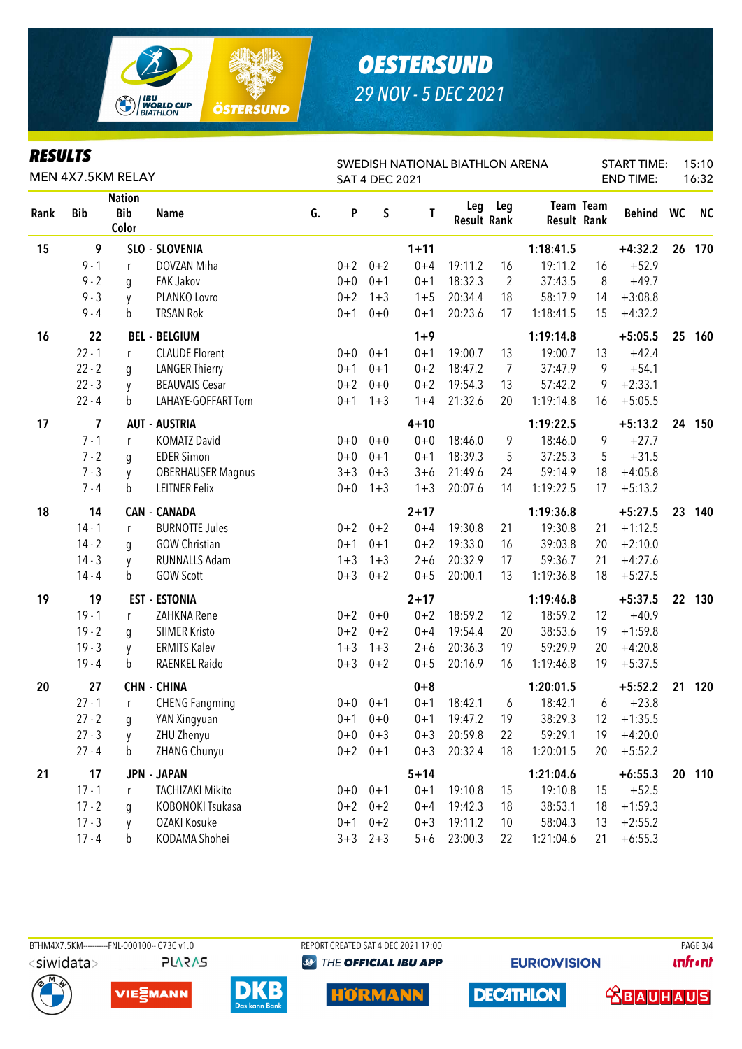

#### **DESIII TS**

| rljvlij           |            |                                      |                          | SWEDISH NATIONAL BIATHLON ARENA |                       |             |          |                    |                | <b>START TIME:</b> |                  |           | 15:10<br>16:32 |           |
|-------------------|------------|--------------------------------------|--------------------------|---------------------------------|-----------------------|-------------|----------|--------------------|----------------|--------------------|------------------|-----------|----------------|-----------|
| MEN 4X7.5KM RELAY |            |                                      |                          |                                 | <b>SAT 4 DEC 2021</b> |             |          |                    |                |                    | <b>END TIME:</b> |           |                |           |
| Rank              | <b>Bib</b> | <b>Nation</b><br><b>Bib</b><br>Color | <b>Name</b>              | G.                              | P                     | $\sf S$     | Τ        | <b>Result Rank</b> | Leg Leg        | <b>Result Rank</b> | Team Team        | Behind WC |                | <b>NC</b> |
| 15                | 9          |                                      | SLO - SLOVENIA           |                                 |                       |             | $1 + 11$ |                    |                | 1:18:41.5          |                  | $+4:32.2$ |                | 26 170    |
|                   | $9 - 1$    | r                                    | DOVZAN Miha              |                                 | $0 + 2$               | $0 + 2$     | $0 + 4$  | 19:11.2            | 16             | 19:11.2            | 16               | $+52.9$   |                |           |
|                   | $9 - 2$    | q                                    | <b>FAK Jakov</b>         |                                 | $0 + 0$               | $0 + 1$     | $0 + 1$  | 18:32.3            | $\overline{2}$ | 37:43.5            | 8                | $+49.7$   |                |           |
|                   | $9 - 3$    | y                                    | PLANKO Lovro             |                                 | $0 + 2$               | $1 + 3$     | $1 + 5$  | 20:34.4            | 18             | 58:17.9            | 14               | $+3:08.8$ |                |           |
|                   | $9 - 4$    | $\mathbf b$                          | <b>TRSAN Rok</b>         |                                 | $0 + 1$               | $0 + 0$     | $0 + 1$  | 20:23.6            | 17             | 1:18:41.5          | 15               | $+4:32.2$ |                |           |
| 16                | 22         |                                      | <b>BEL - BELGIUM</b>     |                                 |                       |             | $1 + 9$  |                    |                | 1:19:14.8          |                  | $+5:05.5$ | 25             | 160       |
|                   | $22 - 1$   | r                                    | <b>CLAUDE Florent</b>    |                                 | $0+0$                 | $0 + 1$     | $0 + 1$  | 19:00.7            | 13             | 19:00.7            | 13               | $+42.4$   |                |           |
|                   | $22 - 2$   | q                                    | <b>LANGER Thierry</b>    |                                 | $0 + 1$               | $0 + 1$     | $0 + 2$  | 18:47.2            | 7              | 37:47.9            | 9                | $+54.1$   |                |           |
|                   | $22 - 3$   | y                                    | <b>BEAUVAIS Cesar</b>    |                                 | $0 + 2$               | $0 + 0$     | $0 + 2$  | 19:54.3            | 13             | 57:42.2            | 9                | $+2:33.1$ |                |           |
|                   | $22 - 4$   | b                                    | LAHAYE-GOFFART Tom       |                                 | $0 + 1$               | $1 + 3$     | $1 + 4$  | 21:32.6            | 20             | 1:19:14.8          | 16               | $+5:05.5$ |                |           |
| 17                | 7          |                                      | <b>AUT - AUSTRIA</b>     |                                 |                       |             | $4 + 10$ |                    |                | 1:19:22.5          |                  | $+5:13.2$ |                | 24 150    |
|                   | $7 - 1$    | r                                    | <b>KOMATZ David</b>      |                                 | $0+0$                 | $0 + 0$     | $0 + 0$  | 18:46.0            | 9              | 18:46.0            | 9                | $+27.7$   |                |           |
|                   | $7 - 2$    | g                                    | <b>EDER Simon</b>        |                                 | $0+0$                 | $0 + 1$     | $0 + 1$  | 18:39.3            | 5              | 37:25.3            | 5                | $+31.5$   |                |           |
|                   | $7 - 3$    | y                                    | <b>OBERHAUSER Magnus</b> |                                 | $3 + 3$               | $0 + 3$     | $3 + 6$  | 21:49.6            | 24             | 59:14.9            | 18               | $+4:05.8$ |                |           |
|                   | $7 - 4$    | b                                    | <b>LEITNER Felix</b>     |                                 | $0+0$                 | $1 + 3$     | $1 + 3$  | 20:07.6            | 14             | 1:19:22.5          | 17               | $+5:13.2$ |                |           |
| 18                | 14         |                                      | <b>CAN - CANADA</b>      |                                 |                       |             | $2 + 17$ |                    |                | 1:19:36.8          |                  | $+5:27.5$ | 23             | 140       |
|                   | $14 - 1$   | r                                    | <b>BURNOTTE Jules</b>    |                                 | $0 + 2$               | $0 + 2$     | $0 + 4$  | 19:30.8            | 21             | 19:30.8            | 21               | $+1:12.5$ |                |           |
|                   | $14 - 2$   | g                                    | <b>GOW Christian</b>     |                                 | $0 + 1$               | $0 + 1$     | $0 + 2$  | 19:33.0            | 16             | 39:03.8            | 20               | $+2:10.0$ |                |           |
|                   | $14 - 3$   | y                                    | RUNNALLS Adam            |                                 | $1 + 3$               | $1 + 3$     | $2 + 6$  | 20:32.9            | 17             | 59:36.7            | 21               | $+4:27.6$ |                |           |
|                   | $14 - 4$   | b                                    | <b>GOW Scott</b>         |                                 | $0 + 3$               | $0 + 2$     | $0 + 5$  | 20:00.1            | 13             | 1:19:36.8          | 18               | $+5:27.5$ |                |           |
| 19                | 19         |                                      | <b>EST - ESTONIA</b>     |                                 |                       |             | $2 + 17$ |                    |                | 1:19:46.8          |                  | $+5:37.5$ |                | 22 130    |
|                   | $19 - 1$   | r                                    | ZAHKNA Rene              |                                 | $0 + 2$               | $0 + 0$     | $0 + 2$  | 18:59.2            | 12             | 18:59.2            | 12               | $+40.9$   |                |           |
|                   | $19 - 2$   | q                                    | <b>SIIMER Kristo</b>     |                                 | $0 + 2$               | $0 + 2$     | $0 + 4$  | 19:54.4            | 20             | 38:53.6            | 19               | $+1:59.8$ |                |           |
|                   | $19 - 3$   | y                                    | <b>ERMITS Kalev</b>      |                                 | $1 + 3$               | $1 + 3$     | $2 + 6$  | 20:36.3            | 19             | 59:29.9            | 20               | $+4:20.8$ |                |           |
|                   | $19 - 4$   | b                                    | RAENKEL Raido            |                                 | $0 + 3$               | $0 + 2$     | $0 + 5$  | 20:16.9            | 16             | 1:19:46.8          | 19               | $+5:37.5$ |                |           |
| 20                | 27         |                                      | <b>CHN - CHINA</b>       |                                 |                       |             | $0 + 8$  |                    |                | 1:20:01.5          |                  | $+5:52.2$ |                | 21 120    |
|                   | $27 - 1$   | $\mathsf{r}$                         | <b>CHENG Fangming</b>    |                                 |                       | $0+0$ $0+1$ | $0 + 1$  | 18:42.1            | 6              | 18:42.1            | 6                | $+23.8$   |                |           |
|                   | $27 - 2$   | g                                    | YAN Xingyuan             |                                 |                       | $0+1$ $0+0$ | $0 + 1$  | 19:47.2            | 19             | 38:29.3            | 12               | $+1:35.5$ |                |           |
|                   | $27 - 3$   | V                                    | ZHU Zhenyu               |                                 | $0+0$                 | $0 + 3$     | $0 + 3$  | 20:59.8            | 22             | 59:29.1            | 19               | $+4:20.0$ |                |           |
|                   | $27 - 4$   | b                                    | ZHANG Chunyu             |                                 |                       | $0+2$ 0+1   | $0 + 3$  | 20:32.4            | 18             | 1:20:01.5          | 20               | $+5:52.2$ |                |           |
| 21                | 17         |                                      | <b>JPN - JAPAN</b>       |                                 |                       |             | $5 + 14$ |                    |                | 1:21:04.6          |                  | $+6:55.3$ |                | 20 110    |
|                   | $17 - 1$   | r                                    | <b>TACHIZAKI Mikito</b>  |                                 | $0+0$                 | $0 + 1$     | $0 + 1$  | 19:10.8            | 15             | 19:10.8            | 15               | $+52.5$   |                |           |
|                   | $17 - 2$   | g                                    | KOBONOKI Tsukasa         |                                 | $0 + 2$               | $0 + 2$     | $0 + 4$  | 19:42.3            | 18             | 38:53.1            | 18               | $+1:59.3$ |                |           |
|                   | $17 - 3$   | y                                    | OZAKI Kosuke             |                                 | $0 + 1$               | $0 + 2$     | $0 + 3$  | 19:11.2            | 10             | 58:04.3            | 13               | $+2:55.2$ |                |           |
|                   | $17 - 4$   | b                                    | KODAMA Shohei            |                                 |                       | $3+3$ $2+3$ | $5 + 6$  | 23:00.3            | 22             | 1:21:04.6          | 21               | $+6:55.3$ |                |           |